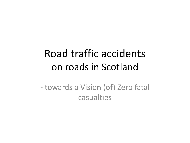## Road traffic accidents on roads in Scotland

- towards a Vision (of) Zero fatal casualties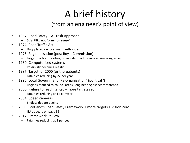# A brief history

### (from an engineer's point of view)

- 1967: Road Safety A Fresh Approach
	- Scientific, not "common sense"
- 1974: Road Traffic Act
	- Duty placed on local roads authorities
- 1975: Regionalisation (post Royal Commission)
	- Larger roads authorities, possibility of addressing engineering aspect
- 1980: Computerised systems
	- Possibility becomes reality
- 1987: Target for 2000 (or thereabouts)
	- Fatalities reducing by 22 per year
- 1996: Local Government "Re-organisation" (political?)
	- Regions reduced to council areas engineering aspect threatened
- 2000: Failure to reach target more targets set
	- Fatalities reducing at 11 per year
- 2004: Speed cameras
	- Endless debate begins
- 2009: Scotland's Road Safety Framework + more targets + Vision Zero
	- ISA appears on page 85
- 2017: Framework Review
	- Fatalities reducing at 1 per year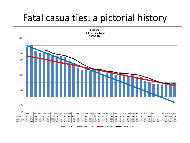## Fatal casualties: a pictorial history

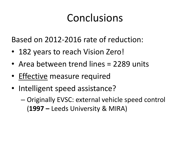# Conclusions

Based on 2012-2016 rate of reduction:

- 182 years to reach Vision Zero!
- Area between trend lines = 2289 units
- Effective measure required
- Intelligent speed assistance?
	- Originally EVSC: external vehicle speed control (**1997 –** Leeds University & MIRA)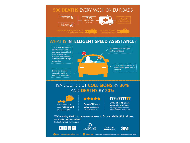#### **500 DEATHS EVERY WEEK ON EU ROADS**



#### **WHAT IS INTELLIGENT SPEED ASSISTANCE?**



#### **ISA COULD CUT COLLISIONS BY 30% AND DEATHS BY 20%**



Cars fitted with ISA could reduce CO2 emissions by 8%

\*\*\*\*\*

**EuroNCAP** awards extra points to cars fitted with ISA

mmmm

78% of road users 64% of car drivers say they support in-vehicle speed limiters (SATRE 2012)

We're asking the EU to require carmakers to fit overridable ISA in all cars. Fit #SafetyAsStandard Find out more at: www.etsc.eu







europeantransportsafetycouncil

C @etsc\_eu Icons O Hadi Davodpour, Mateo Zlatar, Arthur Shlain from The Noun Project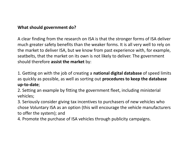#### **What should government do?**

A clear finding from the research on ISA is that the stronger forms of ISA deliver much greater safety benefits than the weaker forms. It is all very well to rely on the market to deliver ISA, but we know from past experience with, for example, seatbelts, that the market on its own is not likely to deliver. The government should therefore **assist the market** by:

1. Getting on with the job of creating a **national digital database** of speed limits as quickly as possible, as well as sorting out **procedures to keep the database up-to-date**;

2. Setting an example by fitting the government fleet, including ministerial vehicles;

3. Seriously consider giving tax incentives to purchasers of new vehicles who chose Voluntary ISA as an option (this will encourage the vehicle manufacturers to offer the system); and

4. Promote the purchase of ISA vehicles through publicity campaigns.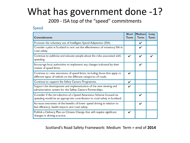## What has government done -1?

2009 - ISA top of the "speed" commitments

#### Speed

| <b>Commitments</b>                                                                                                                               | <b>Short</b><br><b>Term</b> | Medium<br>Term | Long<br>Term |
|--------------------------------------------------------------------------------------------------------------------------------------------------|-----------------------------|----------------|--------------|
| Promote the voluntary use of Intelligent Speed Adaptation (ISA).                                                                                 |                             | V              |              |
| Consider a pilot in Scotland to test out the effectiveness of voluntary ISA in<br>road safety.                                                   |                             | V              |              |
| Continue to publicise and educate people about the risks associated with<br>speeding.                                                            | ✓                           | V              |              |
| Encourage local authorities to implement any changes indicated by their<br>review of speed limits.                                               |                             | V              |              |
| Continue to raise awareness of speed limits, including those that apply to<br>different types of vehicle on the different categories of roads.   | ✓                           |                |              |
| Continue to support the Safety Camera Programme.                                                                                                 | ✓                           |                |              |
| Support the development and implementation of the new viewing and<br>administration system for the Safety Camera Partnerships.                   |                             |                |              |
| Consider if the introduction of a Speed Awareness Scheme focused on<br>speeding would be an appropriate contribution to road safety in Scotland. |                             | V              |              |
| Increase awareness of the benefits of lower speed driving in relation to<br>fuel efficiency, health impacts and road safety.                     |                             | V              |              |
| Publish a Delivery Plan on Climate Change that will require significant<br>changes in driving practice.                                          | V                           |                |              |

Scotland's Road Safety Framework: Medium Term = end of **2014**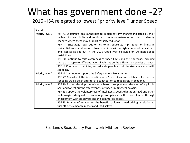## What has government done -2?

#### 2016 - ISA relegated to lowest "priority level" under Speed

| Speed            |                                                                                       |  |  |
|------------------|---------------------------------------------------------------------------------------|--|--|
| Priority level 1 | RSF 71 Encourage local authorities to implement any changes indicated by their        |  |  |
|                  | review of speed limits and continue to monitor networks in order to identify          |  |  |
|                  | changes where these may support casualty reduction.                                   |  |  |
|                  | RSF 74 Encourage local authorities to introduce 20 mph zones or limits in             |  |  |
|                  | residential areas and areas of towns or cities with a high volume of pedestrians      |  |  |
|                  | and cyclists as set out in the 2015 Good Practice guide on 20 mph Speed               |  |  |
|                  | restrictions.                                                                         |  |  |
|                  | RSF 20 Continue to raise awareness of speed limits and their purpose, including       |  |  |
|                  | those that apply to different types of vehicles on the different categories of roads. |  |  |
|                  | RSF 19 Continue to publicise, and educate people about, the risks associated with     |  |  |
|                  | speeding.                                                                             |  |  |
| Priority level 2 | RSF 21 Continue to support the Safety Camera Programme.                               |  |  |
|                  | RSF 72 Consider if the introduction of a Speed Awareness Scheme focused on            |  |  |
|                  | speeding would be an appropriate contribution to road safety in Scotland.             |  |  |
| Priority level 3 | RSF 70 Further develop the evidence base to support consideration of a pilot in       |  |  |
|                  | Scotland to test out the effectiveness of speed limiting technologies.                |  |  |
|                  | RSF 69 Support the voluntary use of Intelligent Speed Adaptation (ISA) and other      |  |  |
|                  | technologies designed to encourage compliance with speed limits, through              |  |  |
|                  | engagement with employers and the commercial sector.                                  |  |  |
|                  | RSF 73 Provide information on the benefits of lower speed driving in relation to      |  |  |
|                  | fuel efficiency, health impacts and road safety.                                      |  |  |

#### Scotland's Road Safety Framework Mid-term Review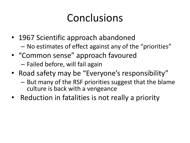# Conclusions

- 1967 Scientific approach abandoned – No estimates of effect against any of the "priorities"
- "Common sense" approach favoured
	- Failed before, will fail again
- Road safety may be "Everyone's responsibility"
	- But many of the RSF priorities suggest that the blame culture is back with a vengeance
- Reduction in fatalities is not really a priority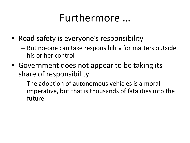## Furthermore …

- Road safety is everyone's responsibility
	- But no-one can take responsibility for matters outside his or her control
- Government does not appear to be taking its share of responsibility
	- The adoption of autonomous vehicles is a moral imperative, but that is thousands of fatalities into the future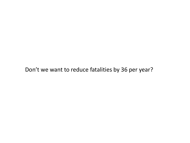#### Don't we want to reduce fatalities by 36 per year?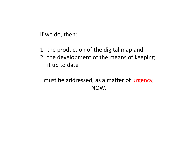If we do, then:

- 1. the production of the digital map and
- 2. the development of the means of keeping it up to date

## must be addressed, as a matter of urgency, NOW.